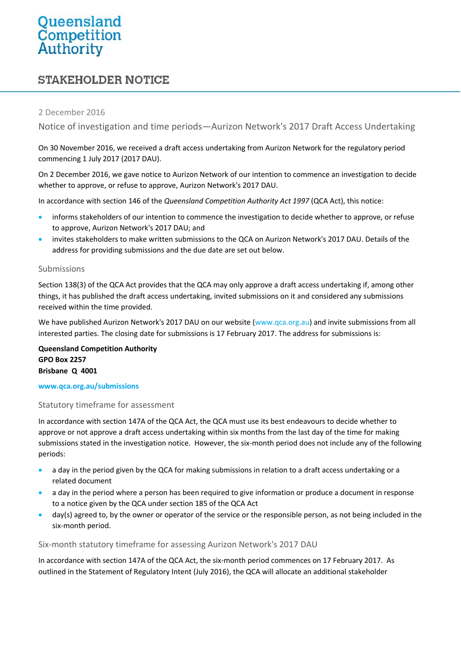# Queensland<br>Competition<br>Authority

# **STAKEHOLDER NOTICE**

# 2 December 2016

Notice of investigation and time periods—Aurizon Network's 2017 Draft Access Undertaking

On 30 November 2016, we received a draft access undertaking from Aurizon Network for the regulatory period commencing 1 July 2017 (2017 DAU).

On 2 December 2016, we gave notice to Aurizon Network of our intention to commence an investigation to decide whether to approve, or refuse to approve, Aurizon Network's 2017 DAU.

In accordance with section 146 of the *Queensland Competition Authority Act 1997* (QCA Act), this notice:

- informs stakeholders of our intention to commence the investigation to decide whether to approve, or refuse to approve, Aurizon Network's 2017 DAU; and
- invites stakeholders to make written submissions to the QCA on Aurizon Network's 2017 DAU. Details of the address for providing submissions and the due date are set out below.

# Submissions

Section 138(3) of the QCA Act provides that the QCA may only approve a draft access undertaking if, among other things, it has published the draft access undertaking, invited submissions on it and considered any submissions received within the time provided.

We have published Aurizon Network's 2017 DAU on our website [\(www.qca.org.au\)](http://www.qca.org.au/) and invite submissions from all interested parties. The closing date for submissions is 17 February 2017. The address for submissions is:

**Queensland Competition Authority GPO Box 2257 Brisbane Q 4001**

#### **www.qca.org.au/submissions**

# Statutory timeframe for assessment

In accordance with section 147A of the QCA Act, the QCA must use its best endeavours to decide whether to approve or not approve a draft access undertaking within six months from the last day of the time for making submissions stated in the investigation notice. However, the six-month period does not include any of the following periods:

- a day in the period given by the QCA for making submissions in relation to a draft access undertaking or a related document
- a day in the period where a person has been required to give information or produce a document in response to a notice given by the QCA under section 185 of the QCA Act
- day(s) agreed to, by the owner or operator of the service or the responsible person, as not being included in the six-month period.

# Six-month statutory timeframe for assessing Aurizon Network's 2017 DAU

In accordance with section 147A of the QCA Act, the six-month period commences on 17 February 2017. As outlined in the Statement of Regulatory Intent (July 2016), the QCA will allocate an additional stakeholder